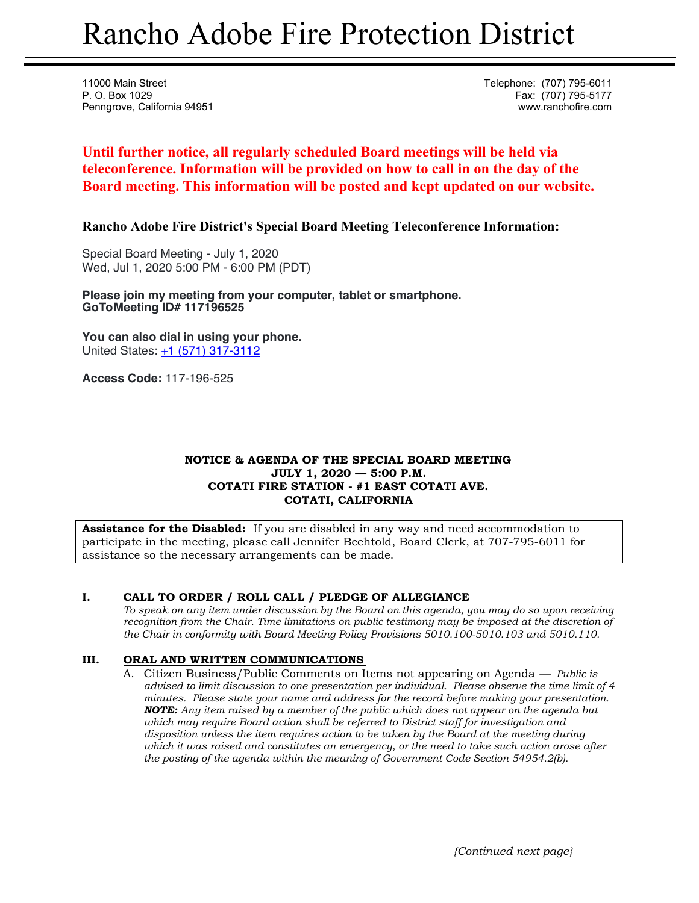# Rancho Adobe Fire Protection District

11000 Main Street Telephone: (707) 795-6011 P. O. Box 1029 Fax: (707) 795-5177 Penngrove, California 94951 www.ranchofire.com

# **Until further notice, all regularly scheduled Board meetings will be held via teleconference. Information will be provided on how to call in on the day of the Board meeting. This information will be posted and kept updated on our website.**

**Rancho Adobe Fire District's Special Board Meeting Teleconference Information:** 

Special Board Meeting - July 1, 2020 Wed, Jul 1, 2020 5:00 PM - 6:00 PM (PDT)

**Please join my meeting from your computer, tablet or smartphone. GoToMeeting ID# 117196525** 

**You can also dial in using your phone.** United States: +1 (571) 317-3112

**Access Code:** 117-196-525

#### **NOTICE & AGENDA OF THE SPECIAL BOARD MEETING JULY 1, 2020 — 5:00 P.M. COTATI FIRE STATION - #1 EAST COTATI AVE. COTATI, CALIFORNIA**

**Assistance for the Disabled:** If you are disabled in any way and need accommodation to participate in the meeting, please call Jennifer Bechtold, Board Clerk, at 707-795-6011 for assistance so the necessary arrangements can be made.

## **I. CALL TO ORDER / ROLL CALL / PLEDGE OF ALLEGIANCE**

*To speak on any item under discussion by the Board on this agenda, you may do so upon receiving recognition from the Chair. Time limitations on public testimony may be imposed at the discretion of the Chair in conformity with Board Meeting Policy Provisions 5010.100-5010.103 and 5010.110.* 

#### **III. ORAL AND WRITTEN COMMUNICATIONS**

A. Citizen Business/Public Comments on Items not appearing on Agenda — *Public is advised to limit discussion to one presentation per individual. Please observe the time limit of 4 minutes. Please state your name and address for the record before making your presentation. NOTE: Any item raised by a member of the public which does not appear on the agenda but which may require Board action shall be referred to District staff for investigation and disposition unless the item requires action to be taken by the Board at the meeting during which it was raised and constitutes an emergency, or the need to take such action arose after the posting of the agenda within the meaning of Government Code Section 54954.2(b).*